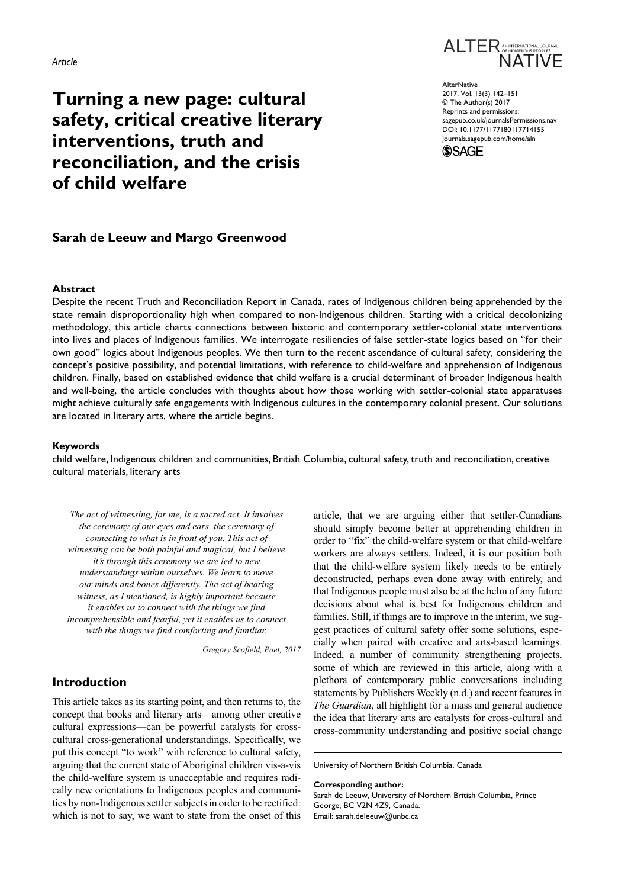

https://doi.org/10.1177/1177180117714155 DOI: 10.1177/1177180117714155 **AlterNative** 2017, Vol. 13(3) 142–151 © The Author(s) 2017 Reprints and permissions: [sagepub.co.uk/journalsPermissions.nav](https://uk.sagepub.com/en-gb/journals-permissions) [journals.sagepub.com/home/a](https://journals.sagepub.com/home/aln)ln



# **Turning a new page: cultural safety, critical creative literary interventions, truth and reconciliation, and the crisis of child welfare**

### **Sarah de Leeuw and Margo Greenwood**

#### **Abstract**

Despite the recent Truth and Reconciliation Report in Canada, rates of Indigenous children being apprehended by the state remain disproportionality high when compared to non-Indigenous children. Starting with a critical decolonizing methodology, this article charts connections between historic and contemporary settler-colonial state interventions into lives and places of Indigenous families. We interrogate resiliencies of false settler-state logics based on "for their own good" logics about Indigenous peoples. We then turn to the recent ascendance of cultural safety, considering the concept's positive possibility, and potential limitations, with reference to child-welfare and apprehension of Indigenous children. Finally, based on established evidence that child welfare is a crucial determinant of broader Indigenous health and well-being, the article concludes with thoughts about how those working with settler-colonial state apparatuses might achieve culturally safe engagements with Indigenous cultures in the contemporary colonial present. Our solutions are located in literary arts, where the article begins.

#### **Keywords**

child welfare, Indigenous children and communities, British Columbia, cultural safety, truth and reconciliation, creative cultural materials, literary arts

*The act of witnessing, for me, is a sacred act. It involves the ceremony of our eyes and ears, the ceremony of connecting to what is in front of you. This act of witnessing can be both painful and magical, but I believe it's through this ceremony we are led to new understandings within ourselves. We learn to move our minds and bones differently. The act of bearing witness, as I mentioned, is highly important because it enables us to connect with the things we find incomprehensible and fearful, yet it enables us to connect with the things we find comforting and familiar.*

*Gregory Scofield, Poet, 2017*

# **Introduction**

This article takes as its starting point, and then returns to, the concept that books and literary arts—among other creative cultural expressions—can be powerful catalysts for crosscultural cross-generational understandings. Specifically, we put this concept "to work" with reference to cultural safety, arguing that the current state of Aboriginal children vis-a-vis the child-welfare system is unacceptable and requires radically new orientations to Indigenous peoples and communities by non-Indigenous settler subjects in order to be rectified: which is not to say, we want to state from the onset of this

article, that we are arguing either that settler-Canadians should simply become better at apprehending children in order to "fix" the child-welfare system or that child-welfare workers are always settlers. Indeed, it is our position both that the child-welfare system likely needs to be entirely deconstructed, perhaps even done away with entirely, and that Indigenous people must also be at the helm of any future decisions about what is best for Indigenous children and families. Still, if things are to improve in the interim, we suggest practices of cultural safety offer some solutions, especially when paired with creative and arts-based learnings. Indeed, a number of community strengthening projects, some of which are reviewed in this article, along with a plethora of contemporary public conversations including statements by Publishers Weekly (n.d.) and recent features in *The Guardian*, all highlight for a mass and general audience the idea that literary arts are catalysts for cross-cultural and cross-community understanding and positive social change

University of Northern British Columbia, Canada

**Corresponding author:**

Sarah de Leeuw, University of Northern British Columbia, Prince George, BC V2N 4Z9, Canada. Email: [sarah.deleeuw@unbc.ca](mailto:sarah.deleeuw@unbc.ca)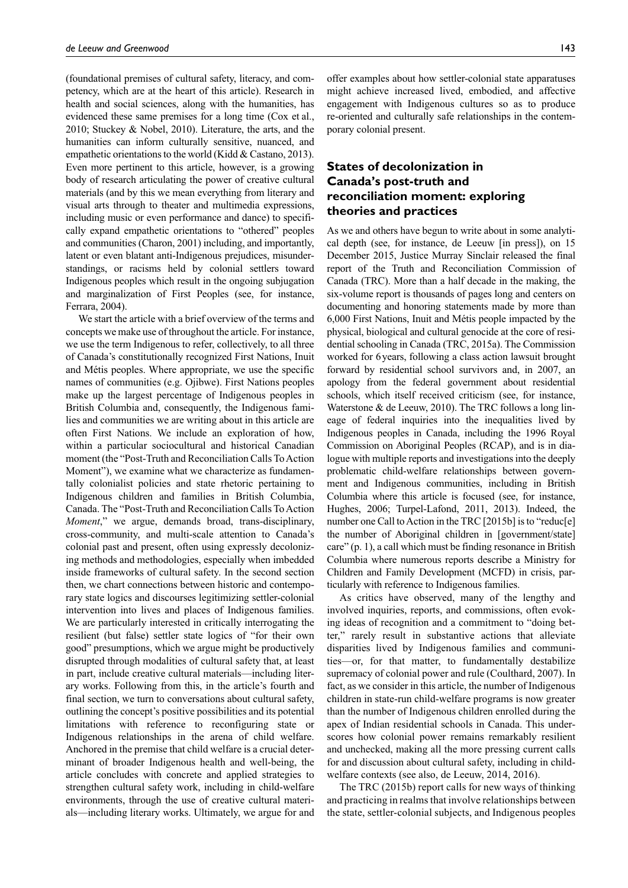(foundational premises of cultural safety, literacy, and competency, which are at the heart of this article). Research in health and social sciences, along with the humanities, has evidenced these same premises for a long time (Cox et al., 2010; Stuckey & Nobel, 2010). Literature, the arts, and the humanities can inform culturally sensitive, nuanced, and empathetic orientations to the world (Kidd & Castano, 2013). Even more pertinent to this article, however, is a growing body of research articulating the power of creative cultural materials (and by this we mean everything from literary and visual arts through to theater and multimedia expressions, including music or even performance and dance) to specifically expand empathetic orientations to "othered" peoples and communities (Charon, 2001) including, and importantly, latent or even blatant anti-Indigenous prejudices, misunderstandings, or racisms held by colonial settlers toward Indigenous peoples which result in the ongoing subjugation and marginalization of First Peoples (see, for instance, Ferrara, 2004).

We start the article with a brief overview of the terms and concepts we make use of throughout the article. For instance, we use the term Indigenous to refer, collectively, to all three of Canada's constitutionally recognized First Nations, Inuit and Métis peoples. Where appropriate, we use the specific names of communities (e.g. Ojibwe). First Nations peoples make up the largest percentage of Indigenous peoples in British Columbia and, consequently, the Indigenous families and communities we are writing about in this article are often First Nations. We include an exploration of how, within a particular sociocultural and historical Canadian moment (the "Post-Truth and Reconciliation Calls To Action Moment"), we examine what we characterize as fundamentally colonialist policies and state rhetoric pertaining to Indigenous children and families in British Columbia, Canada. The "Post-Truth and Reconciliation Calls To Action *Moment*," we argue, demands broad, trans-disciplinary, cross-community, and multi-scale attention to Canada's colonial past and present, often using expressly decolonizing methods and methodologies, especially when imbedded inside frameworks of cultural safety. In the second section then, we chart connections between historic and contemporary state logics and discourses legitimizing settler-colonial intervention into lives and places of Indigenous families. We are particularly interested in critically interrogating the resilient (but false) settler state logics of "for their own good" presumptions, which we argue might be productively disrupted through modalities of cultural safety that, at least in part, include creative cultural materials—including literary works. Following from this, in the article's fourth and final section, we turn to conversations about cultural safety, outlining the concept's positive possibilities and its potential limitations with reference to reconfiguring state or Indigenous relationships in the arena of child welfare. Anchored in the premise that child welfare is a crucial determinant of broader Indigenous health and well-being, the article concludes with concrete and applied strategies to strengthen cultural safety work, including in child-welfare environments, through the use of creative cultural materials—including literary works. Ultimately, we argue for and

offer examples about how settler-colonial state apparatuses might achieve increased lived, embodied, and affective engagement with Indigenous cultures so as to produce re-oriented and culturally safe relationships in the contemporary colonial present.

# **States of decolonization in Canada's post-truth and reconciliation moment: exploring theories and practices**

As we and others have begun to write about in some analytical depth (see, for instance, de Leeuw [in press]), on 15 December 2015, Justice Murray Sinclair released the final report of the Truth and Reconciliation Commission of Canada (TRC). More than a half decade in the making, the six-volume report is thousands of pages long and centers on documenting and honoring statements made by more than 6,000 First Nations, Inuit and Métis people impacted by the physical, biological and cultural genocide at the core of residential schooling in Canada (TRC, 2015a). The Commission worked for 6years, following a class action lawsuit brought forward by residential school survivors and, in 2007, an apology from the federal government about residential schools, which itself received criticism (see, for instance, Waterstone & de Leeuw, 2010). The TRC follows a long lineage of federal inquiries into the inequalities lived by Indigenous peoples in Canada, including the 1996 Royal Commission on Aboriginal Peoples (RCAP), and is in dialogue with multiple reports and investigations into the deeply problematic child-welfare relationships between government and Indigenous communities, including in British Columbia where this article is focused (see, for instance, Hughes, 2006; Turpel-Lafond, 2011, 2013). Indeed, the number one Call to Action in the TRC [2015b] is to "reduc[e] the number of Aboriginal children in [government/state] care" (p. 1), a call which must be finding resonance in British Columbia where numerous reports describe a Ministry for Children and Family Development (MCFD) in crisis, particularly with reference to Indigenous families.

As critics have observed, many of the lengthy and involved inquiries, reports, and commissions, often evoking ideas of recognition and a commitment to "doing better," rarely result in substantive actions that alleviate disparities lived by Indigenous families and communities—or, for that matter, to fundamentally destabilize supremacy of colonial power and rule (Coulthard, 2007). In fact, as we consider in this article, the number of Indigenous children in state-run child-welfare programs is now greater than the number of Indigenous children enrolled during the apex of Indian residential schools in Canada. This underscores how colonial power remains remarkably resilient and unchecked, making all the more pressing current calls for and discussion about cultural safety, including in childwelfare contexts (see also, de Leeuw, 2014, 2016).

The TRC (2015b) report calls for new ways of thinking and practicing in realms that involve relationships between the state, settler-colonial subjects, and Indigenous peoples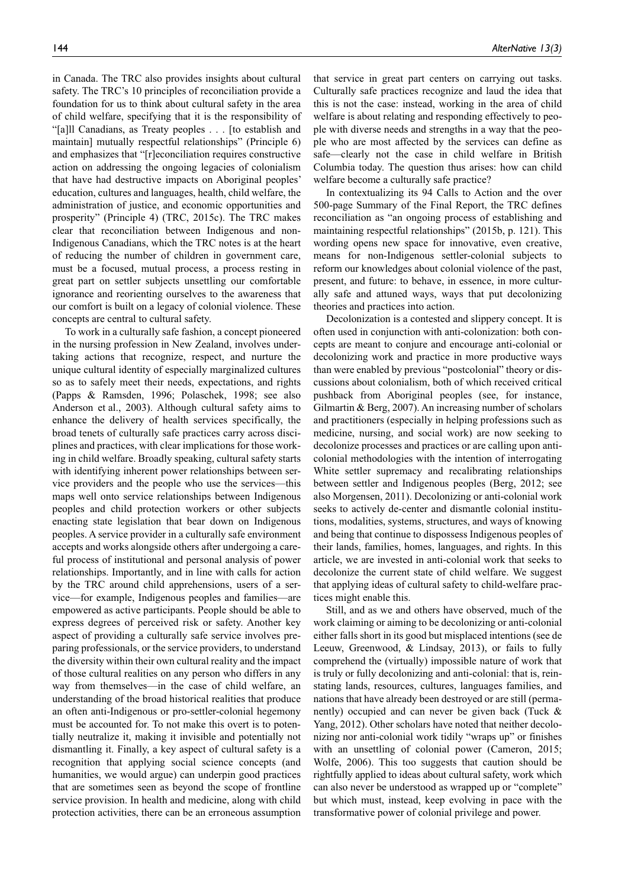in Canada. The TRC also provides insights about cultural safety. The TRC's 10 principles of reconciliation provide a foundation for us to think about cultural safety in the area of child welfare, specifying that it is the responsibility of "[a]ll Canadians, as Treaty peoples . . . [to establish and maintain] mutually respectful relationships" (Principle 6) and emphasizes that "[r]econciliation requires constructive action on addressing the ongoing legacies of colonialism that have had destructive impacts on Aboriginal peoples' education, cultures and languages, health, child welfare, the administration of justice, and economic opportunities and prosperity" (Principle 4) (TRC, 2015c). The TRC makes clear that reconciliation between Indigenous and non-Indigenous Canadians, which the TRC notes is at the heart of reducing the number of children in government care, must be a focused, mutual process, a process resting in great part on settler subjects unsettling our comfortable ignorance and reorienting ourselves to the awareness that our comfort is built on a legacy of colonial violence. These concepts are central to cultural safety.

To work in a culturally safe fashion, a concept pioneered in the nursing profession in New Zealand, involves undertaking actions that recognize, respect, and nurture the unique cultural identity of especially marginalized cultures so as to safely meet their needs, expectations, and rights (Papps & Ramsden, 1996; Polaschek, 1998; see also Anderson et al., 2003). Although cultural safety aims to enhance the delivery of health services specifically, the broad tenets of culturally safe practices carry across disciplines and practices, with clear implications for those working in child welfare. Broadly speaking, cultural safety starts with identifying inherent power relationships between service providers and the people who use the services—this maps well onto service relationships between Indigenous peoples and child protection workers or other subjects enacting state legislation that bear down on Indigenous peoples. A service provider in a culturally safe environment accepts and works alongside others after undergoing a careful process of institutional and personal analysis of power relationships. Importantly, and in line with calls for action by the TRC around child apprehensions, users of a service—for example, Indigenous peoples and families—are empowered as active participants. People should be able to express degrees of perceived risk or safety. Another key aspect of providing a culturally safe service involves preparing professionals, or the service providers, to understand the diversity within their own cultural reality and the impact of those cultural realities on any person who differs in any way from themselves—in the case of child welfare, an understanding of the broad historical realities that produce an often anti-Indigenous or pro-settler-colonial hegemony must be accounted for. To not make this overt is to potentially neutralize it, making it invisible and potentially not dismantling it. Finally, a key aspect of cultural safety is a recognition that applying social science concepts (and humanities, we would argue) can underpin good practices that are sometimes seen as beyond the scope of frontline service provision. In health and medicine, along with child protection activities, there can be an erroneous assumption that service in great part centers on carrying out tasks. Culturally safe practices recognize and laud the idea that this is not the case: instead, working in the area of child welfare is about relating and responding effectively to people with diverse needs and strengths in a way that the people who are most affected by the services can define as safe—clearly not the case in child welfare in British Columbia today. The question thus arises: how can child welfare become a culturally safe practice?

In contextualizing its 94 Calls to Action and the over 500-page Summary of the Final Report, the TRC defines reconciliation as "an ongoing process of establishing and maintaining respectful relationships" (2015b, p. 121). This wording opens new space for innovative, even creative, means for non-Indigenous settler-colonial subjects to reform our knowledges about colonial violence of the past, present, and future: to behave, in essence, in more culturally safe and attuned ways, ways that put decolonizing theories and practices into action.

Decolonization is a contested and slippery concept. It is often used in conjunction with anti-colonization: both concepts are meant to conjure and encourage anti-colonial or decolonizing work and practice in more productive ways than were enabled by previous "postcolonial" theory or discussions about colonialism, both of which received critical pushback from Aboriginal peoples (see, for instance, Gilmartin & Berg, 2007). An increasing number of scholars and practitioners (especially in helping professions such as medicine, nursing, and social work) are now seeking to decolonize processes and practices or are calling upon anticolonial methodologies with the intention of interrogating White settler supremacy and recalibrating relationships between settler and Indigenous peoples (Berg, 2012; see also Morgensen, 2011). Decolonizing or anti-colonial work seeks to actively de-center and dismantle colonial institutions, modalities, systems, structures, and ways of knowing and being that continue to dispossess Indigenous peoples of their lands, families, homes, languages, and rights. In this article, we are invested in anti-colonial work that seeks to decolonize the current state of child welfare. We suggest that applying ideas of cultural safety to child-welfare practices might enable this.

Still, and as we and others have observed, much of the work claiming or aiming to be decolonizing or anti-colonial either falls short in its good but misplaced intentions (see de Leeuw, Greenwood, & Lindsay, 2013), or fails to fully comprehend the (virtually) impossible nature of work that is truly or fully decolonizing and anti-colonial: that is, reinstating lands, resources, cultures, languages families, and nations that have already been destroyed or are still (permanently) occupied and can never be given back (Tuck & Yang, 2012). Other scholars have noted that neither decolonizing nor anti-colonial work tidily "wraps up" or finishes with an unsettling of colonial power (Cameron, 2015; Wolfe, 2006). This too suggests that caution should be rightfully applied to ideas about cultural safety, work which can also never be understood as wrapped up or "complete" but which must, instead, keep evolving in pace with the transformative power of colonial privilege and power.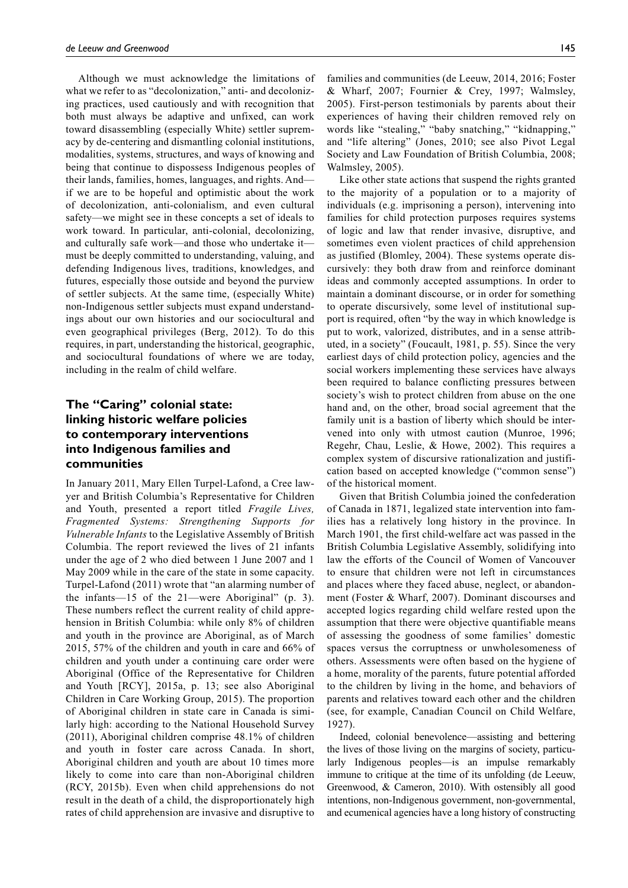Although we must acknowledge the limitations of what we refer to as "decolonization," anti- and decolonizing practices, used cautiously and with recognition that both must always be adaptive and unfixed, can work toward disassembling (especially White) settler supremacy by de-centering and dismantling colonial institutions, modalities, systems, structures, and ways of knowing and being that continue to dispossess Indigenous peoples of their lands, families, homes, languages, and rights. And if we are to be hopeful and optimistic about the work of decolonization, anti-colonialism, and even cultural safety—we might see in these concepts a set of ideals to work toward. In particular, anti-colonial, decolonizing, and culturally safe work—and those who undertake it must be deeply committed to understanding, valuing, and defending Indigenous lives, traditions, knowledges, and futures, especially those outside and beyond the purview of settler subjects. At the same time, (especially White) non-Indigenous settler subjects must expand understandings about our own histories and our sociocultural and even geographical privileges (Berg, 2012). To do this requires, in part, understanding the historical, geographic, and sociocultural foundations of where we are today, including in the realm of child welfare.

# **The "Caring" colonial state: linking historic welfare policies to contemporary interventions into Indigenous families and communities**

In January 2011, Mary Ellen Turpel-Lafond, a Cree lawyer and British Columbia's Representative for Children and Youth, presented a report titled *Fragile Lives, Fragmented Systems: Strengthening Supports for Vulnerable Infants* to the Legislative Assembly of British Columbia. The report reviewed the lives of 21 infants under the age of 2 who died between 1 June 2007 and 1 May 2009 while in the care of the state in some capacity. Turpel-Lafond (2011) wrote that "an alarming number of the infants—15 of the 21—were Aboriginal" (p. 3). These numbers reflect the current reality of child apprehension in British Columbia: while only 8% of children and youth in the province are Aboriginal, as of March 2015, 57% of the children and youth in care and 66% of children and youth under a continuing care order were Aboriginal (Office of the Representative for Children and Youth [RCY], 2015a, p. 13; see also Aboriginal Children in Care Working Group, 2015). The proportion of Aboriginal children in state care in Canada is similarly high: according to the National Household Survey (2011), Aboriginal children comprise 48.1% of children and youth in foster care across Canada. In short, Aboriginal children and youth are about 10 times more likely to come into care than non-Aboriginal children (RCY, 2015b). Even when child apprehensions do not result in the death of a child, the disproportionately high rates of child apprehension are invasive and disruptive to

families and communities (de Leeuw, 2014, 2016; Foster & Wharf, 2007; Fournier & Crey, 1997; Walmsley, 2005). First-person testimonials by parents about their experiences of having their children removed rely on words like "stealing," "baby snatching," "kidnapping," and "life altering" (Jones, 2010; see also Pivot Legal Society and Law Foundation of British Columbia, 2008; Walmsley, 2005).

Like other state actions that suspend the rights granted to the majority of a population or to a majority of individuals (e.g. imprisoning a person), intervening into families for child protection purposes requires systems of logic and law that render invasive, disruptive, and sometimes even violent practices of child apprehension as justified (Blomley, 2004). These systems operate discursively: they both draw from and reinforce dominant ideas and commonly accepted assumptions. In order to maintain a dominant discourse, or in order for something to operate discursively, some level of institutional support is required, often "by the way in which knowledge is put to work, valorized, distributes, and in a sense attributed, in a society" (Foucault, 1981, p. 55). Since the very earliest days of child protection policy, agencies and the social workers implementing these services have always been required to balance conflicting pressures between society's wish to protect children from abuse on the one hand and, on the other, broad social agreement that the family unit is a bastion of liberty which should be intervened into only with utmost caution (Munroe, 1996; Regehr, Chau, Leslie, & Howe, 2002). This requires a complex system of discursive rationalization and justification based on accepted knowledge ("common sense") of the historical moment.

Given that British Columbia joined the confederation of Canada in 1871, legalized state intervention into families has a relatively long history in the province. In March 1901, the first child-welfare act was passed in the British Columbia Legislative Assembly, solidifying into law the efforts of the Council of Women of Vancouver to ensure that children were not left in circumstances and places where they faced abuse, neglect, or abandonment (Foster & Wharf, 2007). Dominant discourses and accepted logics regarding child welfare rested upon the assumption that there were objective quantifiable means of assessing the goodness of some families' domestic spaces versus the corruptness or unwholesomeness of others. Assessments were often based on the hygiene of a home, morality of the parents, future potential afforded to the children by living in the home, and behaviors of parents and relatives toward each other and the children (see, for example, Canadian Council on Child Welfare, 1927).

Indeed, colonial benevolence—assisting and bettering the lives of those living on the margins of society, particularly Indigenous peoples—is an impulse remarkably immune to critique at the time of its unfolding (de Leeuw, Greenwood, & Cameron, 2010). With ostensibly all good intentions, non-Indigenous government, non-governmental, and ecumenical agencies have a long history of constructing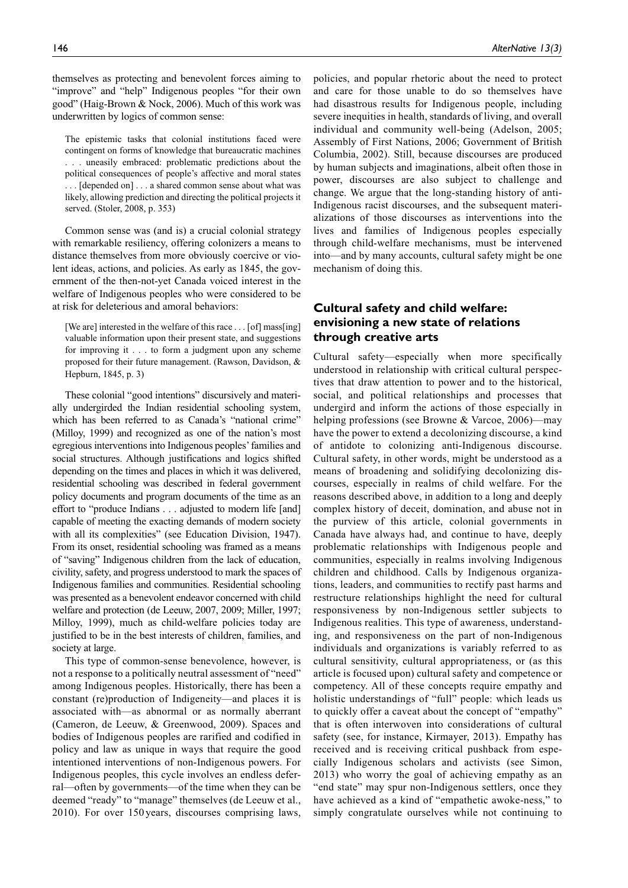themselves as protecting and benevolent forces aiming to "improve" and "help" Indigenous peoples "for their own good" (Haig-Brown & Nock, 2006). Much of this work was underwritten by logics of common sense:

The epistemic tasks that colonial institutions faced were contingent on forms of knowledge that bureaucratic machines . . . uneasily embraced: problematic predictions about the political consequences of people's affective and moral states . . . [depended on] . . . a shared common sense about what was likely, allowing prediction and directing the political projects it served. (Stoler, 2008, p. 353)

Common sense was (and is) a crucial colonial strategy with remarkable resiliency, offering colonizers a means to distance themselves from more obviously coercive or violent ideas, actions, and policies. As early as 1845, the government of the then-not-yet Canada voiced interest in the welfare of Indigenous peoples who were considered to be at risk for deleterious and amoral behaviors:

[We are] interested in the welfare of this race . . . [of] mass[ing] valuable information upon their present state, and suggestions for improving it . . . to form a judgment upon any scheme proposed for their future management. (Rawson, Davidson, & Hepburn, 1845, p. 3)

These colonial "good intentions" discursively and materially undergirded the Indian residential schooling system, which has been referred to as Canada's "national crime" (Milloy, 1999) and recognized as one of the nation's most egregious interventions into Indigenous peoples' families and social structures. Although justifications and logics shifted depending on the times and places in which it was delivered, residential schooling was described in federal government policy documents and program documents of the time as an effort to "produce Indians . . . adjusted to modern life [and] capable of meeting the exacting demands of modern society with all its complexities" (see Education Division, 1947). From its onset, residential schooling was framed as a means of "saving" Indigenous children from the lack of education, civility, safety, and progress understood to mark the spaces of Indigenous families and communities. Residential schooling was presented as a benevolent endeavor concerned with child welfare and protection (de Leeuw, 2007, 2009; Miller, 1997; Milloy, 1999), much as child-welfare policies today are justified to be in the best interests of children, families, and society at large.

This type of common-sense benevolence, however, is not a response to a politically neutral assessment of "need" among Indigenous peoples. Historically, there has been a constant (re)production of Indigeneity—and places it is associated with—as abnormal or as normally aberrant (Cameron, de Leeuw, & Greenwood, 2009). Spaces and bodies of Indigenous peoples are rarified and codified in policy and law as unique in ways that require the good intentioned interventions of non-Indigenous powers. For Indigenous peoples, this cycle involves an endless deferral—often by governments—of the time when they can be deemed "ready" to "manage" themselves (de Leeuw et al., 2010). For over 150 years, discourses comprising laws,

policies, and popular rhetoric about the need to protect and care for those unable to do so themselves have had disastrous results for Indigenous people, including severe inequities in health, standards of living, and overall individual and community well-being (Adelson, 2005; Assembly of First Nations, 2006; Government of British Columbia, 2002). Still, because discourses are produced by human subjects and imaginations, albeit often those in power, discourses are also subject to challenge and change. We argue that the long-standing history of anti-Indigenous racist discourses, and the subsequent materializations of those discourses as interventions into the lives and families of Indigenous peoples especially through child-welfare mechanisms, must be intervened into—and by many accounts, cultural safety might be one mechanism of doing this.

### **Cultural safety and child welfare: envisioning a new state of relations through creative arts**

Cultural safety—especially when more specifically understood in relationship with critical cultural perspectives that draw attention to power and to the historical, social, and political relationships and processes that undergird and inform the actions of those especially in helping professions (see Browne & Varcoe, 2006)—may have the power to extend a decolonizing discourse, a kind of antidote to colonizing anti-Indigenous discourse. Cultural safety, in other words, might be understood as a means of broadening and solidifying decolonizing discourses, especially in realms of child welfare. For the reasons described above, in addition to a long and deeply complex history of deceit, domination, and abuse not in the purview of this article, colonial governments in Canada have always had, and continue to have, deeply problematic relationships with Indigenous people and communities, especially in realms involving Indigenous children and childhood. Calls by Indigenous organizations, leaders, and communities to rectify past harms and restructure relationships highlight the need for cultural responsiveness by non-Indigenous settler subjects to Indigenous realities. This type of awareness, understanding, and responsiveness on the part of non-Indigenous individuals and organizations is variably referred to as cultural sensitivity, cultural appropriateness, or (as this article is focused upon) cultural safety and competence or competency. All of these concepts require empathy and holistic understandings of "full" people: which leads us to quickly offer a caveat about the concept of "empathy" that is often interwoven into considerations of cultural safety (see, for instance, Kirmayer, 2013). Empathy has received and is receiving critical pushback from especially Indigenous scholars and activists (see Simon, 2013) who worry the goal of achieving empathy as an "end state" may spur non-Indigenous settlers, once they have achieved as a kind of "empathetic awoke-ness," to simply congratulate ourselves while not continuing to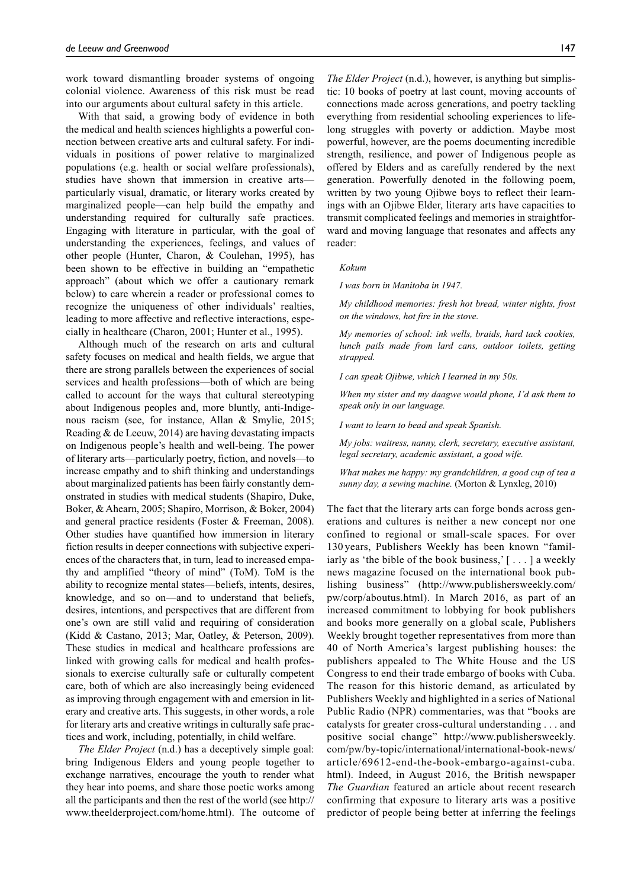work toward dismantling broader systems of ongoing colonial violence. Awareness of this risk must be read into our arguments about cultural safety in this article.

With that said, a growing body of evidence in both the medical and health sciences highlights a powerful connection between creative arts and cultural safety. For individuals in positions of power relative to marginalized populations (e.g. health or social welfare professionals), studies have shown that immersion in creative arts particularly visual, dramatic, or literary works created by marginalized people—can help build the empathy and understanding required for culturally safe practices. Engaging with literature in particular, with the goal of understanding the experiences, feelings, and values of other people (Hunter, Charon, & Coulehan, 1995), has been shown to be effective in building an "empathetic approach" (about which we offer a cautionary remark below) to care wherein a reader or professional comes to recognize the uniqueness of other individuals' realties, leading to more affective and reflective interactions, especially in healthcare (Charon, 2001; Hunter et al., 1995).

Although much of the research on arts and cultural safety focuses on medical and health fields, we argue that there are strong parallels between the experiences of social services and health professions—both of which are being called to account for the ways that cultural stereotyping about Indigenous peoples and, more bluntly, anti-Indigenous racism (see, for instance, Allan & Smylie, 2015; Reading & de Leeuw, 2014) are having devastating impacts on Indigenous people's health and well-being. The power of literary arts—particularly poetry, fiction, and novels—to increase empathy and to shift thinking and understandings about marginalized patients has been fairly constantly demonstrated in studies with medical students (Shapiro, Duke, Boker, & Ahearn, 2005; Shapiro, Morrison, & Boker, 2004) and general practice residents (Foster & Freeman, 2008). Other studies have quantified how immersion in literary fiction results in deeper connections with subjective experiences of the characters that, in turn, lead to increased empathy and amplified "theory of mind" (ToM). ToM is the ability to recognize mental states—beliefs, intents, desires, knowledge, and so on—and to understand that beliefs, desires, intentions, and perspectives that are different from one's own are still valid and requiring of consideration (Kidd & Castano, 2013; Mar, Oatley, & Peterson, 2009). These studies in medical and healthcare professions are linked with growing calls for medical and health professionals to exercise culturally safe or culturally competent care, both of which are also increasingly being evidenced as improving through engagement with and emersion in literary and creative arts. This suggests, in other words, a role for literary arts and creative writings in culturally safe practices and work, including, potentially, in child welfare.

*The Elder Project* (n.d.) has a deceptively simple goal: bring Indigenous Elders and young people together to exchange narratives, encourage the youth to render what they hear into poems, and share those poetic works among all the participants and then the rest of the world (see [http://](http://www.theelderproject.com/home.html) [www.theelderproject.com/home.html](http://www.theelderproject.com/home.html)). The outcome of *The Elder Project* (n.d.), however, is anything but simplistic: 10 books of poetry at last count, moving accounts of connections made across generations, and poetry tackling everything from residential schooling experiences to lifelong struggles with poverty or addiction. Maybe most powerful, however, are the poems documenting incredible strength, resilience, and power of Indigenous people as offered by Elders and as carefully rendered by the next generation. Powerfully denoted in the following poem, written by two young Ojibwe boys to reflect their learnings with an Ojibwe Elder, literary arts have capacities to transmit complicated feelings and memories in straightforward and moving language that resonates and affects any reader:

#### *Kokum*

*I was born in Manitoba in 1947.*

*My childhood memories: fresh hot bread, winter nights, frost on the windows, hot fire in the stove.*

*My memories of school: ink wells, braids, hard tack cookies, lunch pails made from lard cans, outdoor toilets, getting strapped.*

*I can speak Ojibwe, which I learned in my 50s.*

*When my sister and my daagwe would phone, I'd ask them to speak only in our language.*

*I want to learn to bead and speak Spanish.*

*My jobs: waitress, nanny, clerk, secretary, executive assistant, legal secretary, academic assistant, a good wife.*

*What makes me happy: my grandchildren, a good cup of tea a sunny day, a sewing machine.* (Morton & Lynxleg, 2010)

The fact that the literary arts can forge bonds across generations and cultures is neither a new concept nor one confined to regional or small-scale spaces. For over 130 years, Publishers Weekly has been known "familiarly as 'the bible of the book business,' [ . . . ] a weekly news magazine focused on the international book publishing business" [\(http://www.publishersweekly.com/](http://www.publishersweekly.com/pw/corp/aboutus.html) [pw/corp/aboutus.html\)](http://www.publishersweekly.com/pw/corp/aboutus.html). In March 2016, as part of an increased commitment to lobbying for book publishers and books more generally on a global scale, Publishers Weekly brought together representatives from more than 40 of North America's largest publishing houses: the publishers appealed to The White House and the US Congress to end their trade embargo of books with Cuba. The reason for this historic demand, as articulated by Publishers Weekly and highlighted in a series of National Public Radio (NPR) commentaries, was that "books are catalysts for greater cross-cultural understanding . . . and positive social change" [http://www.publishersweekly.](http://www.publishersweekly.com/pw/by-topic/international/international-book-news/article/69612-end-the-book-embargo-against-cuba.html) [com/pw/by-topic/international/international-book-news/](http://www.publishersweekly.com/pw/by-topic/international/international-book-news/article/69612-end-the-book-embargo-against-cuba.html) [article/69612-end-the-book-embargo-against-cuba.](http://www.publishersweekly.com/pw/by-topic/international/international-book-news/article/69612-end-the-book-embargo-against-cuba.html) [html](http://www.publishersweekly.com/pw/by-topic/international/international-book-news/article/69612-end-the-book-embargo-against-cuba.html)). Indeed, in August 2016, the British newspaper *The Guardian* featured an article about recent research confirming that exposure to literary arts was a positive predictor of people being better at inferring the feelings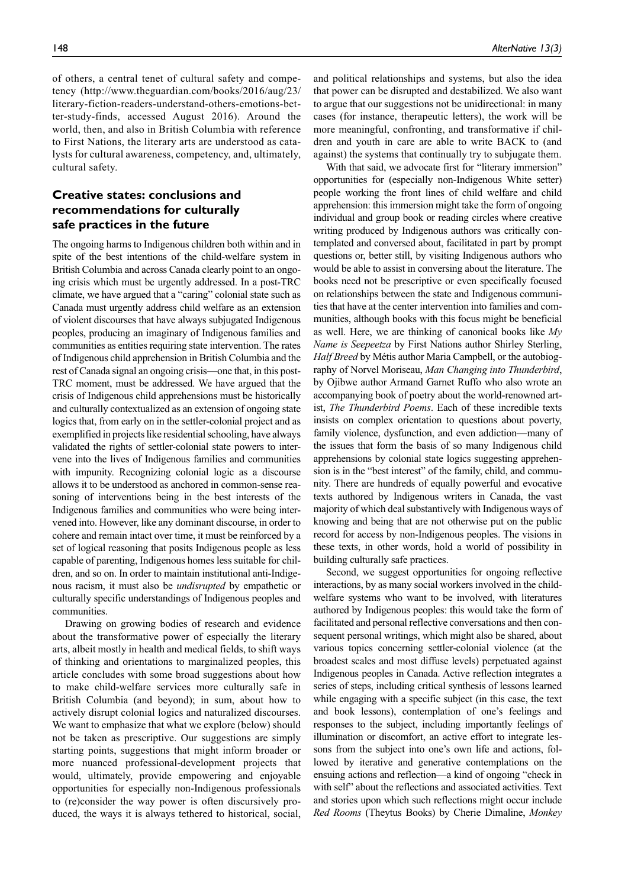of others, a central tenet of cultural safety and competency ([http://www.theguardian.com/books/2016/aug/23/](http://www.theguardian.com/books/2016/aug/23/literary-fiction-readers-understand-others-emotions-better-study-finds) [literary-fiction-readers-understand-others-emotions-bet](http://www.theguardian.com/books/2016/aug/23/literary-fiction-readers-understand-others-emotions-better-study-finds)[ter-study-finds](http://www.theguardian.com/books/2016/aug/23/literary-fiction-readers-understand-others-emotions-better-study-finds), accessed August 2016). Around the world, then, and also in British Columbia with reference to First Nations, the literary arts are understood as catalysts for cultural awareness, competency, and, ultimately, cultural safety.

# **Creative states: conclusions and recommendations for culturally safe practices in the future**

The ongoing harms to Indigenous children both within and in spite of the best intentions of the child-welfare system in British Columbia and across Canada clearly point to an ongoing crisis which must be urgently addressed. In a post-TRC climate, we have argued that a "caring" colonial state such as Canada must urgently address child welfare as an extension of violent discourses that have always subjugated Indigenous peoples, producing an imaginary of Indigenous families and communities as entities requiring state intervention. The rates of Indigenous child apprehension in British Columbia and the rest of Canada signal an ongoing crisis—one that, in this post-TRC moment, must be addressed. We have argued that the crisis of Indigenous child apprehensions must be historically and culturally contextualized as an extension of ongoing state logics that, from early on in the settler-colonial project and as exemplified in projects like residential schooling, have always validated the rights of settler-colonial state powers to intervene into the lives of Indigenous families and communities with impunity. Recognizing colonial logic as a discourse allows it to be understood as anchored in common-sense reasoning of interventions being in the best interests of the Indigenous families and communities who were being intervened into. However, like any dominant discourse, in order to cohere and remain intact over time, it must be reinforced by a set of logical reasoning that posits Indigenous people as less capable of parenting, Indigenous homes less suitable for children, and so on. In order to maintain institutional anti-Indigenous racism, it must also be *undisrupted* by empathetic or culturally specific understandings of Indigenous peoples and communities.

Drawing on growing bodies of research and evidence about the transformative power of especially the literary arts, albeit mostly in health and medical fields, to shift ways of thinking and orientations to marginalized peoples, this article concludes with some broad suggestions about how to make child-welfare services more culturally safe in British Columbia (and beyond); in sum, about how to actively disrupt colonial logics and naturalized discourses. We want to emphasize that what we explore (below) should not be taken as prescriptive. Our suggestions are simply starting points, suggestions that might inform broader or more nuanced professional-development projects that would, ultimately, provide empowering and enjoyable opportunities for especially non-Indigenous professionals to (re)consider the way power is often discursively produced, the ways it is always tethered to historical, social, and political relationships and systems, but also the idea that power can be disrupted and destabilized. We also want to argue that our suggestions not be unidirectional: in many cases (for instance, therapeutic letters), the work will be more meaningful, confronting, and transformative if children and youth in care are able to write BACK to (and against) the systems that continually try to subjugate them.

With that said, we advocate first for "literary immersion" opportunities for (especially non-Indigenous White setter) people working the front lines of child welfare and child apprehension: this immersion might take the form of ongoing individual and group book or reading circles where creative writing produced by Indigenous authors was critically contemplated and conversed about, facilitated in part by prompt questions or, better still, by visiting Indigenous authors who would be able to assist in conversing about the literature. The books need not be prescriptive or even specifically focused on relationships between the state and Indigenous communities that have at the center intervention into families and communities, although books with this focus might be beneficial as well. Here, we are thinking of canonical books like *My Name is Seepeetza* by First Nations author Shirley Sterling, *Half Breed* by Métis author Maria Campbell, or the autobiography of Norvel Moriseau, *Man Changing into Thunderbird*, by Ojibwe author Armand Garnet Ruffo who also wrote an accompanying book of poetry about the world-renowned artist, *The Thunderbird Poems*. Each of these incredible texts insists on complex orientation to questions about poverty, family violence, dysfunction, and even addiction—many of the issues that form the basis of so many Indigenous child apprehensions by colonial state logics suggesting apprehension is in the "best interest" of the family, child, and community. There are hundreds of equally powerful and evocative texts authored by Indigenous writers in Canada, the vast majority of which deal substantively with Indigenous ways of knowing and being that are not otherwise put on the public record for access by non-Indigenous peoples. The visions in these texts, in other words, hold a world of possibility in building culturally safe practices.

Second, we suggest opportunities for ongoing reflective interactions, by as many social workers involved in the childwelfare systems who want to be involved, with literatures authored by Indigenous peoples: this would take the form of facilitated and personal reflective conversations and then consequent personal writings, which might also be shared, about various topics concerning settler-colonial violence (at the broadest scales and most diffuse levels) perpetuated against Indigenous peoples in Canada. Active reflection integrates a series of steps, including critical synthesis of lessons learned while engaging with a specific subject (in this case, the text and book lessons), contemplation of one's feelings and responses to the subject, including importantly feelings of illumination or discomfort, an active effort to integrate lessons from the subject into one's own life and actions, followed by iterative and generative contemplations on the ensuing actions and reflection—a kind of ongoing "check in with self" about the reflections and associated activities. Text and stories upon which such reflections might occur include *Red Rooms* (Theytus Books) by Cherie Dimaline, *Monkey*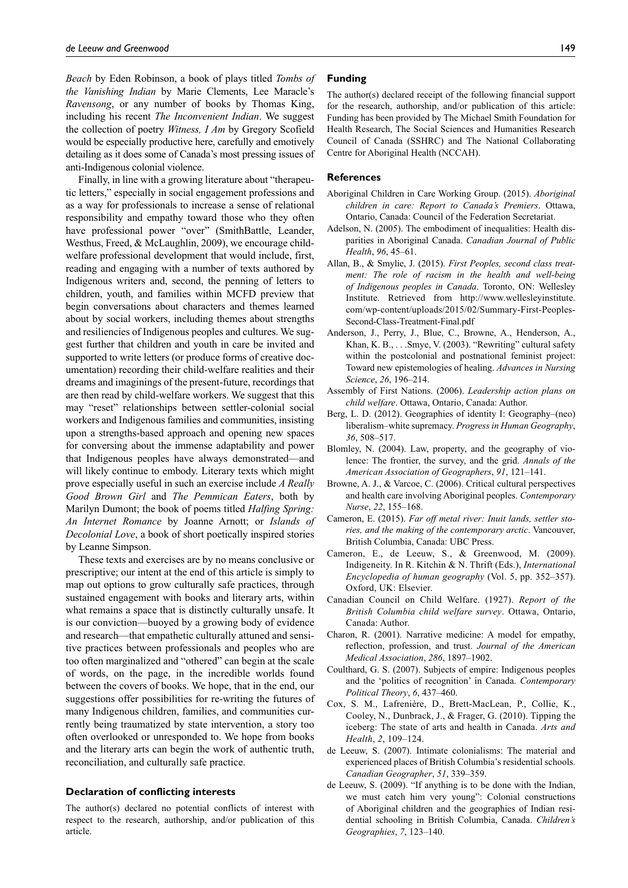*Beach* by Eden Robinson, a book of plays titled *Tombs of the Vanishing Indian* by Marie Clements, Lee Maracle's *Ravensong*, or any number of books by Thomas King, including his recent *The Inconvenient Indian*. We suggest the collection of poetry *Witness, I Am* by Gregory Scofield would be especially productive here, carefully and emotively detailing as it does some of Canada's most pressing issues of anti-Indigenous colonial violence.

Finally, in line with a growing literature about "therapeutic letters," especially in social engagement professions and as a way for professionals to increase a sense of relational responsibility and empathy toward those who they often have professional power "over" (SmithBattle, Leander, Westhus, Freed, & McLaughlin, 2009), we encourage childwelfare professional development that would include, first, reading and engaging with a number of texts authored by Indigenous writers and, second, the penning of letters to children, youth, and families within MCFD preview that begin conversations about characters and themes learned about by social workers, including themes about strengths and resiliencies of Indigenous peoples and cultures. We suggest further that children and youth in care be invited and supported to write letters (or produce forms of creative documentation) recording their child-welfare realities and their dreams and imaginings of the present-future, recordings that are then read by child-welfare workers. We suggest that this may "reset" relationships between settler-colonial social workers and Indigenous families and communities, insisting upon a strengths-based approach and opening new spaces for conversing about the immense adaptability and power that Indigenous peoples have always demonstrated—and will likely continue to embody. Literary texts which might prove especially useful in such an exercise include *A Really Good Brown Girl* and *The Pemmican Eaters*, both by Marilyn Dumont; the book of poems titled *Halfing Spring: An Internet Romance* by Joanne Arnott; or *Islands of Decolonial Love*, a book of short poetically inspired stories by Leanne Simpson.

These texts and exercises are by no means conclusive or prescriptive; our intent at the end of this article is simply to map out options to grow culturally safe practices, through sustained engagement with books and literary arts, within what remains a space that is distinctly culturally unsafe. It is our conviction—buoyed by a growing body of evidence and research—that empathetic culturally attuned and sensitive practices between professionals and peoples who are too often marginalized and "othered" can begin at the scale of words, on the page, in the incredible worlds found between the covers of books. We hope, that in the end, our suggestions offer possibilities for re-writing the futures of many Indigenous children, families, and communities currently being traumatized by state intervention, a story too often overlooked or unresponded to. We hope from books and the literary arts can begin the work of authentic truth, reconciliation, and culturally safe practice.

#### **Declaration of conflicting interests**

The author(s) declared no potential conflicts of interest with respect to the research, authorship, and/or publication of this article.

The author(s) declared receipt of the following financial support for the research, authorship, and/or publication of this article: Funding has been provided by The Michael Smith Foundation for Health Research, The Social Sciences and Humanities Research Council of Canada (SSHRC) and The National Collaborating Centre for Aboriginal Health (NCCAH).

#### **References**

- Aboriginal Children in Care Working Group. (2015). *Aboriginal children in care: Report to Canada's Premiers*. Ottawa, Ontario, Canada: Council of the Federation Secretariat.
- Adelson, N. (2005). The embodiment of inequalities: Health disparities in Aboriginal Canada. *Canadian Journal of Public Health*, *96*, 45–61.
- Allan, B., & Smylie, J. (2015). *First Peoples, second class treatment: The role of racism in the health and well-being of Indigenous peoples in Canada*. Toronto, ON: Wellesley Institute. Retrieved from [http://www.wellesleyinstitute.](http://www.wellesleyinstitute.com/wp-content/uploads/2015/02/Summary-First-Peoples-Second-Class-Treatment-Final.pdf) [com/wp-content/uploads/2015/02/Summary-First-Peoples-](http://www.wellesleyinstitute.com/wp-content/uploads/2015/02/Summary-First-Peoples-Second-Class-Treatment-Final.pdf)[Second-Class-Treatment-Final.pdf](http://www.wellesleyinstitute.com/wp-content/uploads/2015/02/Summary-First-Peoples-Second-Class-Treatment-Final.pdf)
- Anderson, J., Perry, J., Blue, C., Browne, A., Henderson, A., Khan, K. B., . . .Smye, V. (2003). "Rewriting" cultural safety within the postcolonial and postnational feminist project: Toward new epistemologies of healing. *Advances in Nursing Science*, *26*, 196–214.
- Assembly of First Nations. (2006). *Leadership action plans on child welfare*. Ottawa, Ontario, Canada: Author.
- Berg, L. D. (2012). Geographies of identity I: Geography–(neo) liberalism–white supremacy. *Progress in Human Geography*, *36*, 508–517.
- Blomley, N. (2004). Law, property, and the geography of violence: The frontier, the survey, and the grid. *Annals of the American Association of Geographers*, *91*, 121–141.
- Browne, A. J., & Varcoe, C. (2006). Critical cultural perspectives and health care involving Aboriginal peoples. *Contemporary Nurse*, *22*, 155–168.
- Cameron, E. (2015). *Far off metal river: Inuit lands, settler stories, and the making of the contemporary arctic*. Vancouver, British Columbia, Canada: UBC Press.
- Cameron, E., de Leeuw, S., & Greenwood, M. (2009). Indigeneity. In R. Kitchin & N. Thrift (Eds.), *International Encyclopedia of human geography* (Vol. 5, pp. 352–357). Oxford, UK: Elsevier.
- Canadian Council on Child Welfare. (1927). *Report of the British Columbia child welfare survey*. Ottawa, Ontario, Canada: Author.
- Charon, R. (2001). Narrative medicine: A model for empathy, reflection, profession, and trust. *Journal of the American Medical Association*, *286*, 1897–1902.
- Coulthard, G. S. (2007). Subjects of empire: Indigenous peoples and the 'politics of recognition' in Canada. *Contemporary Political Theory*, *6*, 437–460.
- Cox, S. M., Lafrenière, D., Brett-MacLean, P., Collie, K., Cooley, N., Dunbrack, J., & Frager, G. (2010). Tipping the iceberg: The state of arts and health in Canada. *Arts and Health*, *2*, 109–124.
- de Leeuw, S. (2007). Intimate colonialisms: The material and experienced places of British Columbia's residential schools. *Canadian Geographer*, *51*, 339–359.
- de Leeuw, S. (2009). "If anything is to be done with the Indian, we must catch him very young": Colonial constructions of Aboriginal children and the geographies of Indian residential schooling in British Columbia, Canada. *Children's Geographies*, *7*, 123–140.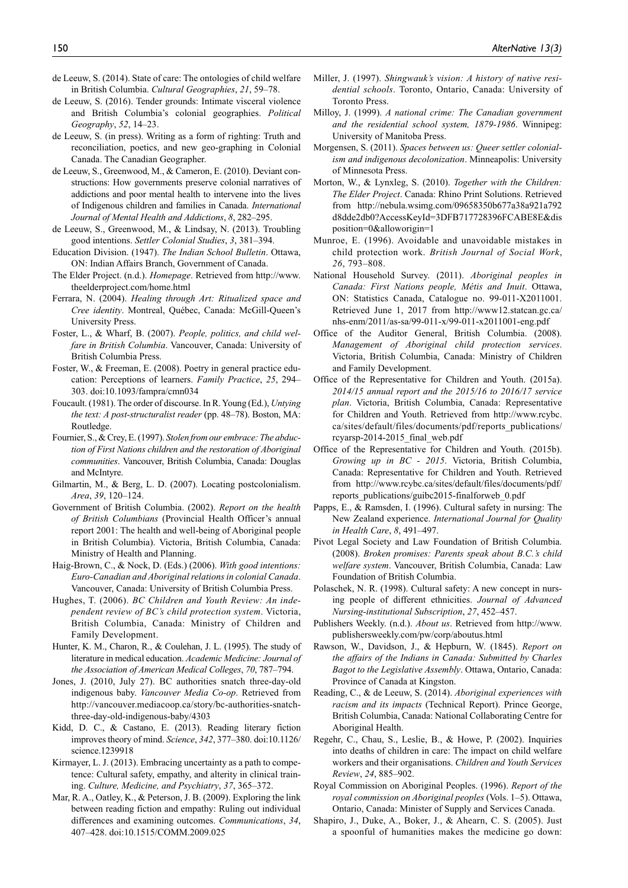- de Leeuw, S. (2014). State of care: The ontologies of child welfare in British Columbia. *Cultural Geographies*, *21*, 59–78.
- de Leeuw, S. (2016). Tender grounds: Intimate visceral violence and British Columbia's colonial geographies. *Political Geography*, *52*, 14–23.
- de Leeuw, S. (in press). Writing as a form of righting: Truth and reconciliation, poetics, and new geo-graphing in Colonial Canada. The Canadian Geographer.
- de Leeuw, S., Greenwood, M., & Cameron, E. (2010). Deviant constructions: How governments preserve colonial narratives of addictions and poor mental health to intervene into the lives of Indigenous children and families in Canada. *International Journal of Mental Health and Addictions*, *8*, 282–295.
- de Leeuw, S., Greenwood, M., & Lindsay, N. (2013). Troubling good intentions. *Settler Colonial Studies*, *3*, 381–394.
- Education Division. (1947). *The Indian School Bulletin*. Ottawa, ON: Indian Affairs Branch, Government of Canada.
- The Elder Project. (n.d.). *Homepage*. Retrieved from [http://www.](http://www.theelderproject.com/home.html) [theelderproject.com/home.html](http://www.theelderproject.com/home.html)
- Ferrara, N. (2004). *Healing through Art: Ritualized space and Cree identity*. Montreal, Québec, Canada: McGill-Queen's University Press.
- Foster, L., & Wharf, B. (2007). *People, politics, and child welfare in British Columbia*. Vancouver, Canada: University of British Columbia Press.
- Foster, W., & Freeman, E. (2008). Poetry in general practice education: Perceptions of learners. *Family Practice*, *25*, 294– 303. doi:10.1093/fampra/cmn034
- Foucault. (1981). The order of discourse. In R. Young (Ed.), *Untying the text: A post-structuralist reader* (pp. 48–78). Boston, MA: Routledge.
- Fournier, S., & Crey, E. (1997). *Stolen from our embrace: The abduction of First Nations children and the restoration of Aboriginal communities*. Vancouver, British Columbia, Canada: Douglas and McIntyre.
- Gilmartin, M., & Berg, L. D. (2007). Locating postcolonialism. *Area*, *39*, 120–124.
- Government of British Columbia. (2002). *Report on the health of British Columbians* (Provincial Health Officer's annual report 2001: The health and well-being of Aboriginal people in British Columbia). Victoria, British Columbia, Canada: Ministry of Health and Planning.
- Haig-Brown, C., & Nock, D. (Eds.) (2006). *With good intentions: Euro-Canadian and Aboriginal relations in colonial Canada*. Vancouver, Canada: University of British Columbia Press.
- Hughes, T. (2006). *BC Children and Youth Review: An independent review of BC's child protection system*. Victoria, British Columbia, Canada: Ministry of Children and Family Development.
- Hunter, K. M., Charon, R., & Coulehan, J. L. (1995). The study of literature in medical education. *Academic Medicine: Journal of the Association of American Medical Colleges*, *70*, 787–794.
- Jones, J. (2010, July 27). BC authorities snatch three-day-old indigenous baby. *Vancouver Media Co-op*. Retrieved from [http://vancouver.mediacoop.ca/story/bc-authorities-snatch](http://vancouver.mediacoop.ca/story/bc-authorities-snatch-three-day-old-indigenous-baby/4303)[three-day-old-indigenous-baby/4303](http://vancouver.mediacoop.ca/story/bc-authorities-snatch-three-day-old-indigenous-baby/4303)
- Kidd, D. C., & Castano, E. (2013). Reading literary fiction improves theory of mind. *Science*, *342*, 377–380. doi:10.1126/ science.1239918
- Kirmayer, L. J. (2013). Embracing uncertainty as a path to competence: Cultural safety, empathy, and alterity in clinical training. *Culture, Medicine, and Psychiatry*, *37*, 365–372.
- Mar, R. A., Oatley, K., & Peterson, J. B. (2009). Exploring the link between reading fiction and empathy: Ruling out individual differences and examining outcomes. *Communications*, *34*, 407–428. doi:10.1515/COMM.2009.025
- Miller, J. (1997). *Shingwauk's vision: A history of native residential schools*. Toronto, Ontario, Canada: University of Toronto Press.
- Milloy, J. (1999). *A national crime: The Canadian government and the residential school system, 1879-1986*. Winnipeg: University of Manitoba Press.
- Morgensen, S. (2011). *Spaces between us: Queer settler colonialism and indigenous decolonization*. Minneapolis: University of Minnesota Press.
- Morton, W., & Lynxleg, S. (2010). *Together with the Children: The Elder Project*. Canada: Rhino Print Solutions. Retrieved from [http://nebula.wsimg.com/09658350b677a38a921a792](http://nebula.wsimg.com/09658350b677a38a921a792d8dde2db0?AccessKeyId=3DFB717728396FCABE8E&disposition=0&alloworigin=1) [d8dde2db0?AccessKeyId=3DFB717728396FCABE8E&dis](http://nebula.wsimg.com/09658350b677a38a921a792d8dde2db0?AccessKeyId=3DFB717728396FCABE8E&disposition=0&alloworigin=1) [position=0&alloworigin=1](http://nebula.wsimg.com/09658350b677a38a921a792d8dde2db0?AccessKeyId=3DFB717728396FCABE8E&disposition=0&alloworigin=1)
- Munroe, E. (1996). Avoidable and unavoidable mistakes in child protection work. *British Journal of Social Work*, *26*, 793–808.
- National Household Survey. (2011). *Aboriginal peoples in Canada: First Nations people, Métis and Inuit*. Ottawa, ON: Statistics Canada, Catalogue no. 99-011-X2011001. Retrieved June 1, 2017 from [http://www12.statcan.gc.ca/](http://www12.statcan.gc.ca/nhs-enm/2011/as-sa/99-011-x/99-011-x2011001-eng.pdf) [nhs-enm/2011/as-sa/99-011-x/99-011-x2011001-eng.pdf](http://www12.statcan.gc.ca/nhs-enm/2011/as-sa/99-011-x/99-011-x2011001-eng.pdf)
- Office of the Auditor General, British Columbia. (2008). *Management of Aboriginal child protection services*. Victoria, British Columbia, Canada: Ministry of Children and Family Development.
- Office of the Representative for Children and Youth. (2015a). *2014/15 annual report and the 2015/16 to 2016/17 service plan*. Victoria, British Columbia, Canada: Representative for Children and Youth. Retrieved from [http://www.rcybc.](http://www.rcybc.ca/sites/default/files/documents/pdf/reports_publications/rcyarsp-2014-2015_final_web.pdf) [ca/sites/default/files/documents/pdf/reports\\_publications/](http://www.rcybc.ca/sites/default/files/documents/pdf/reports_publications/rcyarsp-2014-2015_final_web.pdf) [rcyarsp-2014-2015\\_final\\_web.pdf](http://www.rcybc.ca/sites/default/files/documents/pdf/reports_publications/rcyarsp-2014-2015_final_web.pdf)
- Office of the Representative for Children and Youth. (2015b). *Growing up in BC - 2015*. Victoria, British Columbia, Canada: Representative for Children and Youth. Retrieved from [http://www.rcybc.ca/sites/default/files/documents/pdf/](http://www.rcybc.ca/sites/default/files/documents/pdf/reports_publications/guibc2015-finalforweb_0.pdf) [reports\\_publications/guibc2015-finalforweb\\_0.pdf](http://www.rcybc.ca/sites/default/files/documents/pdf/reports_publications/guibc2015-finalforweb_0.pdf)
- Papps, E., & Ramsden, I. (1996). Cultural safety in nursing: The New Zealand experience. *International Journal for Quality in Health Care*, *8*, 491–497.
- Pivot Legal Society and Law Foundation of British Columbia. (2008). *Broken promises: Parents speak about B.C.'s child welfare system*. Vancouver, British Columbia, Canada: Law Foundation of British Columbia.
- Polaschek, N. R. (1998). Cultural safety: A new concept in nursing people of different ethnicities. *Journal of Advanced Nursing-institutional Subscription*, *27*, 452–457.
- Publishers Weekly. (n.d.). *About us*. Retrieved from [http://www.](http://www.publishersweekly.com/pw/corp/aboutus.html) [publishersweekly.com/pw/corp/aboutus.html](http://www.publishersweekly.com/pw/corp/aboutus.html)
- Rawson, W., Davidson, J., & Hepburn, W. (1845). *Report on the affairs of the Indians in Canada: Submitted by Charles Bagot to the Legislative Assembly*. Ottawa, Ontario, Canada: Province of Canada at Kingston.
- Reading, C., & de Leeuw, S. (2014). *Aboriginal experiences with racism and its impacts* (Technical Report). Prince George, British Columbia, Canada: National Collaborating Centre for Aboriginal Health.
- Regehr, C., Chau, S., Leslie, B., & Howe, P. (2002). Inquiries into deaths of children in care: The impact on child welfare workers and their organisations. *Children and Youth Services Review*, *24*, 885–902.
- Royal Commission on Aboriginal Peoples. (1996). *Report of the royal commission on Aboriginal peoples* (Vols. 1–5). Ottawa, Ontario, Canada: Minister of Supply and Services Canada.
- Shapiro, J., Duke, A., Boker, J., & Ahearn, C. S. (2005). Just a spoonful of humanities makes the medicine go down: